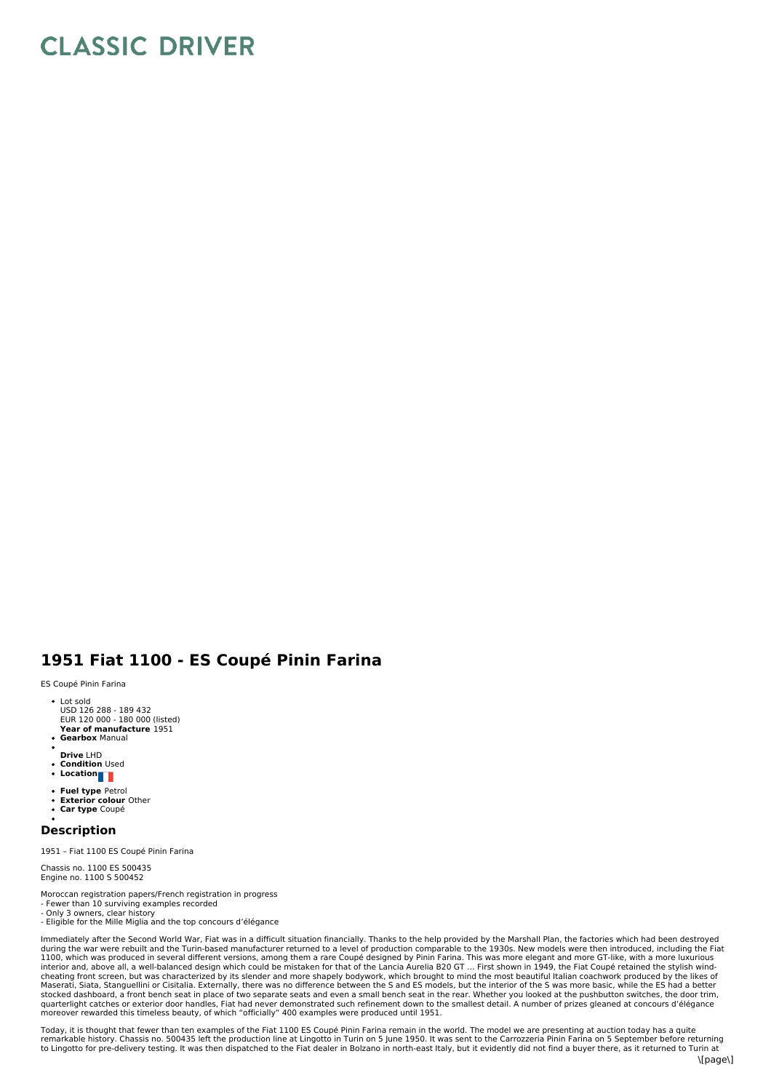## **CLASSIC DRIVER**

## **1951 Fiat 1100 - ES Coupé Pinin Farina**

ES Coupé Pinin Farina

- Lot sold USD 126 288 189 432
- **E**UR 120 000 180 000 (listed)<br>**Year of manufacture** 1951
- **Gearbox** Manual
- **Drive** LHD
- **Condition** Used
- **Location**
- $\bullet$ **Fuel type** Petrol
- **Exterior colour** Other
- **Car type** Coupé

## **Description**

1951 – Fiat 1100 ES Coupé Pinin Farina

Chassis no. 1100 ES 500435 Engine no. 1100 S 500452

- Moroccan registration papers/French registration in progress
- Fewer than 10 surviving examples recorded Only 3 owners, clear history
- Eligible for the Mille Miglia and the top concours d'élégance

Immediately after the Second World War, Fiat was in a difficult situation financially. Thanks to the help provided by the Marshall Plan, the factories which had been destroyed<br>during the war were rebuilt and the Turin-base stocked dashboard, a front bench seat in place of two separate seats and even a small bench seat in the rear. Whether you looked at the pushbutton switches, the door trim,<br>quarterlight catches or exterior door handles, Fia moreover rewarded this timeless beauty, of which "officially" 400 examples were produced until 1951.

Today, it is thought that fewer than ten examples of the Fiat 1100 ES Coupé Pinin Farina remain in the world. The model we are presenting at auction today has a quite remarkable history. Chassis no. 500435 left the production line at Lingotto in Turin on 5 June 1950. It was sent to the Carrozzeria Pinin Farina on 5 September before returning<br>to Lingotto for pre-delivery testing. It was